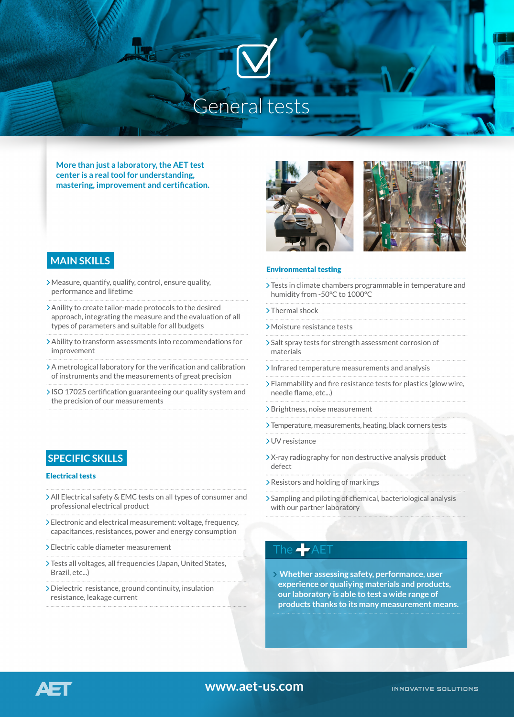# General tests

**More than just a laboratory, the AET test center is a real tool for understanding, mastering, improvement and certification.**



#### Environmental testing

- Tests in climate chambers programmable in temperature and humidity from -50°C to 1000°C
- >Thermal shock
- Moisture resistance tests
- Salt spray tests for strength assessment corrosion of materials
- $\lambda$ Infrared temperature measurements and analysis
- Flammability and fire resistance tests for plastics (glow wire, needle flame, etc...)
- > Brightness, noise measurement
- Temperature, measurements, heating, black corners tests
- UV resistance
- X-ray radiography for non destructive analysis product defect
- Resistors and holding of markings
- Sampling and piloting of chemical, bacteriological analysis with our partner laboratory

## The  $\blacktriangleleft$  AET

**Whether assessing safety, performance, user experience or qualiying materials and products, our laboratory is able to test a wide range of products thanks to its many measurement means.**

### **MAIN SKILLS**

- Measure, quantify, qualify, control, ensure quality, performance and lifetime
- Anility to create tailor-made protocols to the desired approach, integrating the measure and the evaluation of all types of parameters and suitable for all budgets
- Ability to transform assessments into recommendations for improvement
- A metrological laboratory for the verification and calibration of instruments and the measurements of great precision
- ISO 17025 certification guaranteeing our quality system and the precision of our measurements

## **SPECIFIC SKILLS**

### Electrical tests

AΞ

- All Electrical safety & EMC tests on all types of consumer and professional electrical product
- Electronic and electrical measurement: voltage, frequency, capacitances, resistances, power and energy consumption
- Electric cable diameter measurement
- Tests all voltages, all frequencies (Japan, United States, Brazil, etc...)
- Dielectric resistance, ground continuity, insulation resistance, leakage current

**www.aet-us.com**

**INNOVATIVE SOLUTIONS**